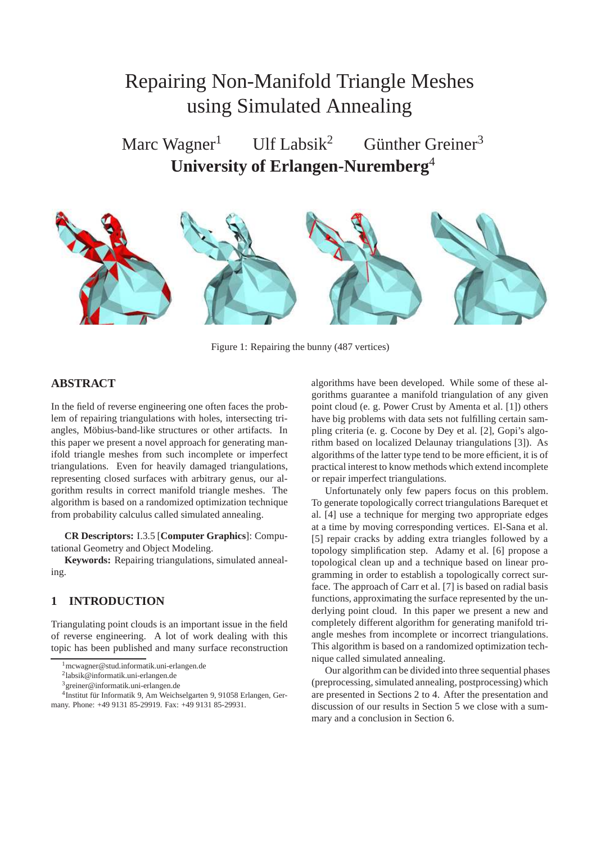# Repairing Non-Manifold Triangle Meshes using Simulated Annealing

Marc Wagner<sup>1</sup> Ulf Labsik<sup>2</sup> Günther Greiner<sup>3</sup> **University of Erlangen-Nuremberg**<sup>4</sup>



Figure 1: Repairing the bunny (487 vertices)

# **ABSTRACT**

In the field of reverse engineering one often faces the problem of repairing triangulations with holes, intersecting triangles, Möbius-band-like structures or other artifacts. In this paper we present a novel approach for generating manifold triangle meshes from such incomplete or imperfect triangulations. Even for heavily damaged triangulations, representing closed surfaces with arbitrary genus, our algorithm results in correct manifold triangle meshes. The algorithm is based on a randomized optimization technique from probability calculus called simulated annealing.

**CR Descriptors:** I.3.5 [**Computer Graphics**]: Computational Geometry and Object Modeling.

**Keywords:** Repairing triangulations, simulated annealing.

# **1 INTRODUCTION**

Triangulating point clouds is an important issue in the field of reverse engineering. A lot of work dealing with this topic has been published and many surface reconstruction algorithms have been developed. While some of these algorithms guarantee a manifold triangulation of any given point cloud (e. g. Power Crust by Amenta et al. [1]) others have big problems with data sets not fulfilling certain sampling criteria (e. g. Cocone by Dey et al. [2], Gopi's algorithm based on localized Delaunay triangulations [3]). As algorithms of the latter type tend to be more efficient, it is of practical interest to know methods which extend incomplete or repair imperfect triangulations.

Unfortunately only few papers focus on this problem. To generate topologically correct triangulations Barequet et al. [4] use a technique for merging two appropriate edges at a time by moving corresponding vertices. El-Sana et al. [5] repair cracks by adding extra triangles followed by a topology simplification step. Adamy et al. [6] propose a topological clean up and a technique based on linear programming in order to establish a topologically correct surface. The approach of Carr et al. [7] is based on radial basis functions, approximating the surface represented by the underlying point cloud. In this paper we present a new and completely different algorithm for generating manifold triangle meshes from incomplete or incorrect triangulations. This algorithm is based on a randomized optimization technique called simulated annealing.

Our algorithm can be divided into three sequential phases (preprocessing, simulated annealing, postprocessing) which are presented in Sections 2 to 4. After the presentation and discussion of our results in Section 5 we close with a summary and a conclusion in Section 6.

<sup>1</sup>mcwagner@stud.informatik.uni-erlangen.de

<sup>2</sup> labsik@informatik.uni-erlangen.de

<sup>3</sup>greiner@informatik.uni-erlangen.de

<sup>&</sup>lt;sup>4</sup>Institut für Informatik 9, Am Weichselgarten 9, 91058 Erlangen, Germany. Phone: +49 9131 85-29919. Fax: +49 9131 85-29931.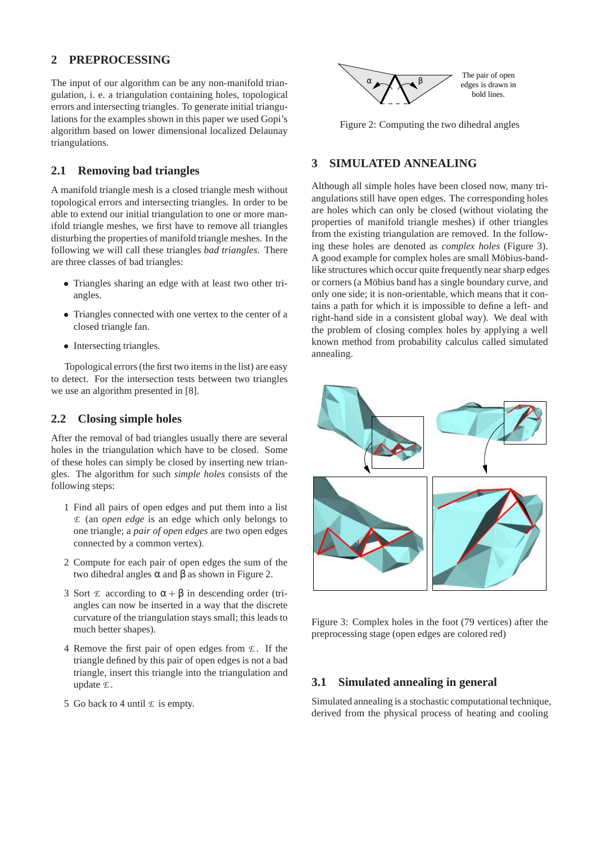# **2 PREPROCESSING**

The input of our algorithm can be any non-manifold triangulation, i. e. a triangulation containing holes, topological errors and intersecting triangles. To generate initial triangulations for the examples shown in this paper we used Gopi's algorithm based on lower dimensional localized Delaunay triangulations.

## **2.1 Removing bad triangles**

A manifold triangle mesh is a closed triangle mesh without topological errors and intersecting triangles. In order to be able to extend our initial triangulation to one or more manifold triangle meshes, we first have to remove all triangles disturbing the properties of manifold triangle meshes. In the following we will call these triangles *bad triangles*. There are three classes of bad triangles:

- Triangles sharing an edge with at least two other triangles.
- Triangles connected with one vertex to the center of a closed triangle fan.
- Intersecting triangles.

Topological errors (the first two items in the list) are easy to detect. For the intersection tests between two triangles we use an algorithm presented in [8].

#### **2.2 Closing simple holes**

After the removal of bad triangles usually there are several holes in the triangulation which have to be closed. Some of these holes can simply be closed by inserting new triangles. The algorithm for such *simple holes* consists of the following steps:

- 1 Find all pairs of open edges and put them into a list *E* (an *open edge* is an edge which only belongs to one triangle; a *pair of open edges* are two open edges connected by a common vertex).
- 2 Compute for each pair of open edges the sum of the two dihedral angles α and β as shown in Figure 2.
- 3 Sort  $\mathcal E$  according to  $\alpha + \beta$  in descending order (triangles can now be inserted in a way that the discrete curvature of the triangulation stays small; this leads to much better shapes).
- 4 Remove the first pair of open edges from *E* . If the triangle defined by this pair of open edges is not a bad triangle, insert this triangle into the triangulation and update *E* .
- 5 Go back to 4 until  $\mathcal E$  is empty.



Figure 2: Computing the two dihedral angles

# **3 SIMULATED ANNEALING**

Although all simple holes have been closed now, many triangulations still have open edges. The corresponding holes are holes which can only be closed (without violating the properties of manifold triangle meshes) if other triangles from the existing triangulation are removed. In the following these holes are denoted as *complex holes* (Figure 3). A good example for complex holes are small Möbius-bandlike structures which occur quite frequently near sharp edges or corners (a Möbius band has a single boundary curve, and only one side; it is non-orientable, which means that it contains a path for which it is impossible to define a left- and right-hand side in a consistent global way). We deal with the problem of closing complex holes by applying a well known method from probability calculus called simulated annealing.



Figure 3: Complex holes in the foot (79 vertices) after the preprocessing stage (open edges are colored red)

#### **3.1 Simulated annealing in general**

Simulated annealing is a stochastic computational technique, derived from the physical process of heating and cooling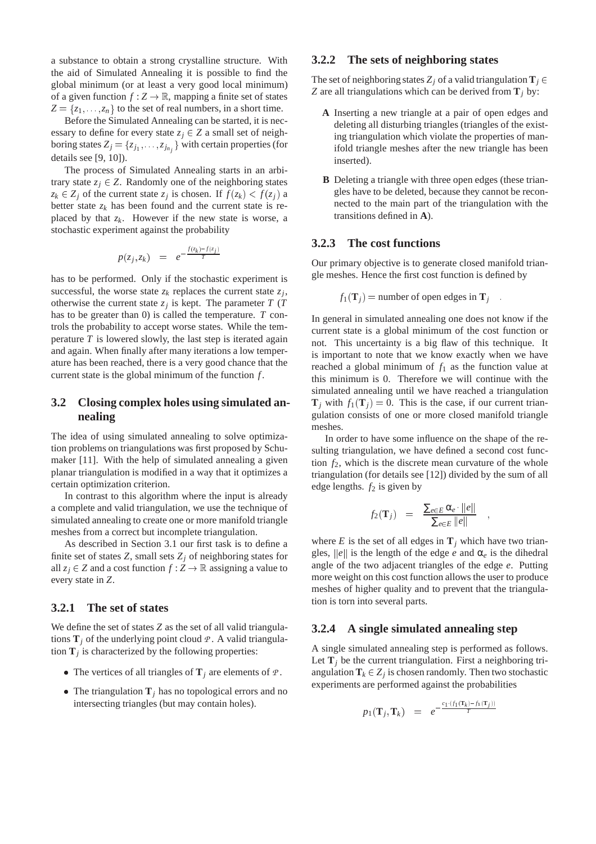a substance to obtain a strong crystalline structure. With the aid of Simulated Annealing it is possible to find the global minimum (or at least a very good local minimum) of a given function  $f: Z \to \mathbb{R}$ , mapping a finite set of states  $Z = \{z_1, \ldots, z_n\}$  to the set of real numbers, in a short time.

Before the Simulated Annealing can be started, it is necessary to define for every state  $z_j \in Z$  a small set of neighboring states  $Z_j = \{z_{j_1}, \ldots, z_{j_{n_j}}\}$  with certain properties (for details see [9, 10]).

The process of Simulated Annealing starts in an arbitrary state  $z_j \in Z$ . Randomly one of the neighboring states  $z_k \in Z_j$  of the current state  $z_j$  is chosen. If  $f(z_k) < f(z_j)$  a better state  $z_k$  has been found and the current state is replaced by that  $z_k$ . However if the new state is worse, a stochastic experiment against the probability

$$
p(z_j, z_k) = e^{-\frac{f(z_k) - f(z_j)}{T}}
$$

has to be performed. Only if the stochastic experiment is successful, the worse state  $z_k$  replaces the current state  $z_j$ , otherwise the current state  $z_j$  is kept. The parameter  $T(T)$ has to be greater than 0) is called the temperature. *T* controls the probability to accept worse states. While the temperature *T* is lowered slowly, the last step is iterated again and again. When finally after many iterations a low temperature has been reached, there is a very good chance that the current state is the global minimum of the function *f* .

# **3.2 Closing complex holes using simulated annealing**

The idea of using simulated annealing to solve optimization problems on triangulations was first proposed by Schumaker [11]. With the help of simulated annealing a given planar triangulation is modified in a way that it optimizes a certain optimization criterion.

In contrast to this algorithm where the input is already a complete and valid triangulation, we use the technique of simulated annealing to create one or more manifold triangle meshes from a correct but incomplete triangulation.

As described in Section 3.1 our first task is to define a finite set of states  $Z$ , small sets  $Z_i$  of neighboring states for all  $z_i \in Z$  and a cost function  $f : Z \to \mathbb{R}$  assigning a value to every state in *Z*.

# **3.2.1 The set of states**

We define the set of states *Z* as the set of all valid triangulations  $\mathbf{T}_i$  of the underlying point cloud  $P$ . A valid triangulation  $\mathbf{T}_j$  is characterized by the following properties:

- The vertices of all triangles of  $\mathbf{T}_j$  are elements of  $\varPsi$ .
- The triangulation  $\mathbf{T}_j$  has no topological errors and no intersecting triangles (but may contain holes).

## **3.2.2 The sets of neighboring states**

The set of neighboring states  $Z_j$  of a valid triangulation  $T_j \in$ *Z* are all triangulations which can be derived from  $\mathbf{T}_i$  by:

- **A** Inserting a new triangle at a pair of open edges and deleting all disturbing triangles (triangles of the existing triangulation which violate the properties of manifold triangle meshes after the new triangle has been inserted).
- **B** Deleting a triangle with three open edges (these triangles have to be deleted, because they cannot be reconnected to the main part of the triangulation with the transitions defined in **A**).

#### **3.2.3 The cost functions**

Our primary objective is to generate closed manifold triangle meshes. Hence the first cost function is defined by

$$
f_1(\mathbf{T}_j)
$$
 = number of open edges in  $\mathbf{T}_j$ 

In general in simulated annealing one does not know if the current state is a global minimum of the cost function or not. This uncertainty is a big flaw of this technique. It is important to note that we know exactly when we have reached a global minimum of  $f_1$  as the function value at this minimum is 0. Therefore we will continue with the simulated annealing until we have reached a triangulation  $\mathbf{T}_i$  with  $f_1(\mathbf{T}_i) = 0$ . This is the case, if our current triangulation consists of one or more closed manifold triangle meshes.

In order to have some influence on the shape of the resulting triangulation, we have defined a second cost function  $f_2$ , which is the discrete mean curvature of the whole triangulation (for details see [12]) divided by the sum of all edge lengths.  $f_2$  is given by

$$
f_2(\mathbf{T}_j) = \frac{\sum_{e \in E} \alpha_e \cdot ||e||}{\sum_{e \in E} ||e||}
$$

where  $E$  is the set of all edges in  $\mathbf{T}_i$  which have two triangles,  $\|\hat{e}\|$  is the length of the edge *e* and  $\alpha_e$  is the dihedral angle of the two adjacent triangles of the edge *e*. Putting more weight on this cost function allows the user to produce meshes of higher quality and to prevent that the triangulation is torn into several parts.

#### **3.2.4 A single simulated annealing step**

A single simulated annealing step is performed as follows. Let  $\mathbf{T}_i$  be the current triangulation. First a neighboring triangulation  $\mathbf{T}_k \in Z_j$  is chosen randomly. Then two stochastic experiments are performed against the probabilities

$$
p_1({\bf T}_j,{\bf T}_k) \;\; = \;\; e^{-\frac{c_1 \cdot (f_1({\bf T}_k) - f_1({\bf T}_j))}{T}}
$$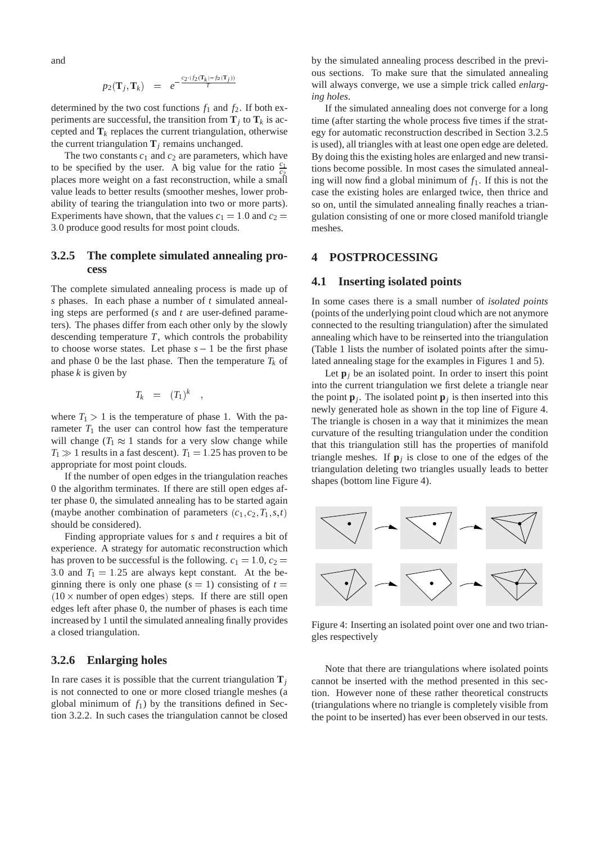and

$$
p_2(\mathbf{T}_j, \mathbf{T}_k) = e^{-\frac{c_2 \cdot (f_2(\mathbf{T}_k) - f_2(\mathbf{T}_j))}{T}}
$$

determined by the two cost functions  $f_1$  and  $f_2$ . If both experiments are successful, the transition from  $\mathbf{T}_j$  to  $\mathbf{T}_k$  is accepted and  $\mathbf{T}_k$  replaces the current triangulation, otherwise the current triangulation  $\mathbf{T}_i$  remains unchanged.

The two constants  $c_1$  and  $c_2$  are parameters, which have to be specified by the user. A big value for the ratio  $\frac{c_1}{c_2}$ places more weight on a fast reconstruction, while a small value leads to better results (smoother meshes, lower probability of tearing the triangulation into two or more parts). Experiments have shown, that the values  $c_1 = 1.0$  and  $c_2 =$ 3:0 produce good results for most point clouds.

# **3.2.5 The complete simulated annealing process**

The complete simulated annealing process is made up of *s* phases. In each phase a number of *t* simulated annealing steps are performed (*s* and *t* are user-defined parameters). The phases differ from each other only by the slowly descending temperature *T*, which controls the probability to choose worse states. Let phase  $s - 1$  be the first phase and phase 0 be the last phase. Then the temperature  $T_k$  of phase *k* is given by

$$
T_k = (T_1)^k
$$

;

where  $T_1 > 1$  is the temperature of phase 1. With the parameter  $T_1$  the user can control how fast the temperature will change ( $T_1 \approx 1$  stands for a very slow change while  $T_1 \gg 1$  results in a fast descent).  $T_1 = 1.25$  has proven to be appropriate for most point clouds.

If the number of open edges in the triangulation reaches 0 the algorithm terminates. If there are still open edges after phase 0, the simulated annealing has to be started again (maybe another combination of parameters  $(c_1, c_2, T_1, s, t)$ ) should be considered).

Finding appropriate values for *s* and *t* requires a bit of experience. A strategy for automatic reconstruction which has proven to be successful is the following.  $c_1 = 1.0$ ,  $c_2 =$ 3.0 and  $T_1 = 1.25$  are always kept constant. At the beginning there is only one phase  $(s = 1)$  consisting of  $t =$  $(10 \times$  number of open edges) steps. If there are still open edges left after phase 0, the number of phases is each time increased by 1 until the simulated annealing finally provides a closed triangulation.

## **3.2.6 Enlarging holes**

In rare cases it is possible that the current triangulation  $\mathbf{T}_i$ is not connected to one or more closed triangle meshes (a global minimum of  $f_1$ ) by the transitions defined in Section 3.2.2. In such cases the triangulation cannot be closed by the simulated annealing process described in the previous sections. To make sure that the simulated annealing will always converge, we use a simple trick called *enlarging holes*.

If the simulated annealing does not converge for a long time (after starting the whole process five times if the strategy for automatic reconstruction described in Section 3.2.5 is used), all triangles with at least one open edge are deleted. By doing this the existing holes are enlarged and new transitions become possible. In most cases the simulated annealing will now find a global minimum of *f*1. If this is not the case the existing holes are enlarged twice, then thrice and so on, until the simulated annealing finally reaches a triangulation consisting of one or more closed manifold triangle meshes.

## **4 POSTPROCESSING**

#### **4.1 Inserting isolated points**

In some cases there is a small number of *isolated points* (points of the underlying point cloud which are not anymore connected to the resulting triangulation) after the simulated annealing which have to be reinserted into the triangulation (Table 1 lists the number of isolated points after the simulated annealing stage for the examples in Figures 1 and 5).

Let  $\mathbf{p}_i$  be an isolated point. In order to insert this point into the current triangulation we first delete a triangle near the point  $\mathbf{p}_j$ . The isolated point  $\mathbf{p}_j$  is then inserted into this newly generated hole as shown in the top line of Figure 4. The triangle is chosen in a way that it minimizes the mean curvature of the resulting triangulation under the condition that this triangulation still has the properties of manifold triangle meshes. If  $\mathbf{p}_j$  is close to one of the edges of the triangulation deleting two triangles usually leads to better shapes (bottom line Figure 4).



Figure 4: Inserting an isolated point over one and two triangles respectively

Note that there are triangulations where isolated points cannot be inserted with the method presented in this section. However none of these rather theoretical constructs (triangulations where no triangle is completely visible from the point to be inserted) has ever been observed in our tests.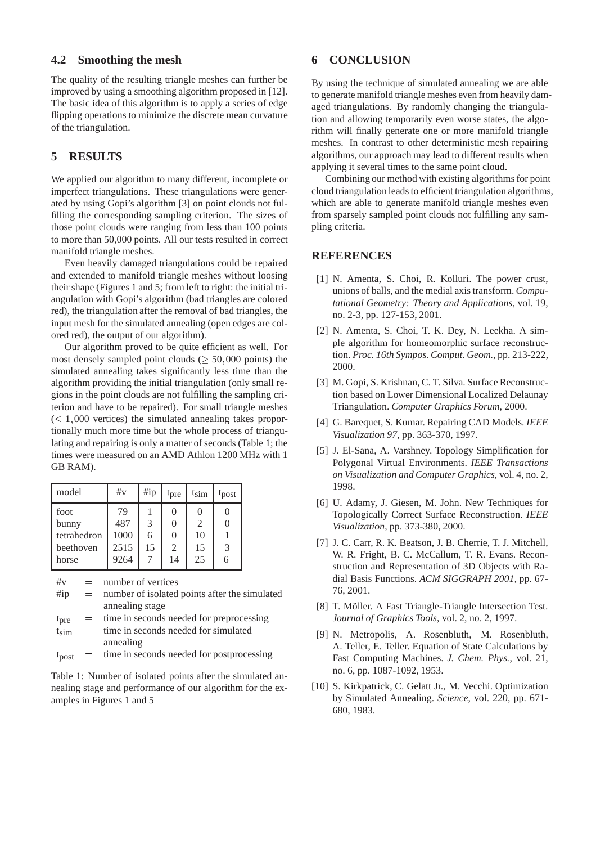# **4.2 Smoothing the mesh**

The quality of the resulting triangle meshes can further be improved by using a smoothing algorithm proposed in [12]. The basic idea of this algorithm is to apply a series of edge flipping operations to minimize the discrete mean curvature of the triangulation.

# **5 RESULTS**

We applied our algorithm to many different, incomplete or imperfect triangulations. These triangulations were generated by using Gopi's algorithm [3] on point clouds not fulfilling the corresponding sampling criterion. The sizes of those point clouds were ranging from less than 100 points to more than 50,000 points. All our tests resulted in correct manifold triangle meshes.

Even heavily damaged triangulations could be repaired and extended to manifold triangle meshes without loosing their shape (Figures 1 and 5; from left to right: the initial triangulation with Gopi's algorithm (bad triangles are colored red), the triangulation after the removal of bad triangles, the input mesh for the simulated annealing (open edges are colored red), the output of our algorithm).

Our algorithm proved to be quite efficient as well. For most densely sampled point clouds  $($  > 50,000 points) the simulated annealing takes significantly less time than the algorithm providing the initial triangulation (only small regions in the point clouds are not fulfilling the sampling criterion and have to be repaired). For small triangle meshes  $(< 1,000$  vertices) the simulated annealing takes proportionally much more time but the whole process of triangulating and repairing is only a matter of seconds (Table 1; the times were measured on an AMD Athlon 1200 MHz with 1 GB RAM).

| model       | #v   | $\#$ ip | $t_{pre}$ | $t_{sim}$ | $t_{\text{post}}$ |
|-------------|------|---------|-----------|-----------|-------------------|
| foot        | 79   |         | 0         | 0         | C                 |
| bunny       | 487  | 3       | 0         | 2         | 0                 |
| tetrahedron | 1000 | 6       | 0         | 10        |                   |
| beethoven   | 2515 | 15      | 2         | 15        | 3                 |
| horse       | 9264 |         | 14        | 25        | 6                 |
|             |      |         |           |           |                   |

- $\#v$  = number of vertices
- $\#$ ip = number of isolated points after the simulated annealing stage
- $t<sub>pre</sub>$  = time in seconds needed for preprocessing
- $t_{\text{sim}}$  = time in seconds needed for simulated annealing
- $t_{\text{post}}$  = time in seconds needed for postprocessing

Table 1: Number of isolated points after the simulated annealing stage and performance of our algorithm for the examples in Figures 1 and 5

# **6 CONCLUSION**

By using the technique of simulated annealing we are able to generate manifold triangle meshes even from heavily damaged triangulations. By randomly changing the triangulation and allowing temporarily even worse states, the algorithm will finally generate one or more manifold triangle meshes. In contrast to other deterministic mesh repairing algorithms, our approach may lead to different results when applying it several times to the same point cloud.

Combining our method with existing algorithms for point cloud triangulation leads to efficient triangulation algorithms, which are able to generate manifold triangle meshes even from sparsely sampled point clouds not fulfilling any sampling criteria.

#### **REFERENCES**

- [1] N. Amenta, S. Choi, R. Kolluri. The power crust, unions of balls, and the medial axis transform. *Computational Geometry: Theory and Applications*, vol. 19, no. 2-3, pp. 127-153, 2001.
- [2] N. Amenta, S. Choi, T. K. Dey, N. Leekha. A simple algorithm for homeomorphic surface reconstruction. *Proc. 16th Sympos. Comput. Geom.*, pp. 213-222, 2000.
- [3] M. Gopi, S. Krishnan, C. T. Silva. Surface Reconstruction based on Lower Dimensional Localized Delaunay Triangulation. *Computer Graphics Forum*, 2000.
- [4] G. Barequet, S. Kumar. Repairing CAD Models. *IEEE Visualization 97*, pp. 363-370, 1997.
- [5] J. El-Sana, A. Varshney. Topology Simplification for Polygonal Virtual Environments. *IEEE Transactions on Visualization and Computer Graphics*, vol. 4, no. 2, 1998.
- [6] U. Adamy, J. Giesen, M. John. New Techniques for Topologically Correct Surface Reconstruction. *IEEE Visualization*, pp. 373-380, 2000.
- [7] J. C. Carr, R. K. Beatson, J. B. Cherrie, T. J. Mitchell, W. R. Fright, B. C. McCallum, T. R. Evans. Reconstruction and Representation of 3D Objects with Radial Basis Functions. *ACM SIGGRAPH 2001*, pp. 67- 76, 2001.
- [8] T. Möller. A Fast Triangle-Triangle Intersection Test. *Journal of Graphics Tools*, vol. 2, no. 2, 1997.
- [9] N. Metropolis, A. Rosenbluth, M. Rosenbluth, A. Teller, E. Teller. Equation of State Calculations by Fast Computing Machines. *J. Chem. Phys.*, vol. 21, no. 6, pp. 1087-1092, 1953.
- [10] S. Kirkpatrick, C. Gelatt Jr., M. Vecchi. Optimization by Simulated Annealing. *Science*, vol. 220, pp. 671- 680, 1983.